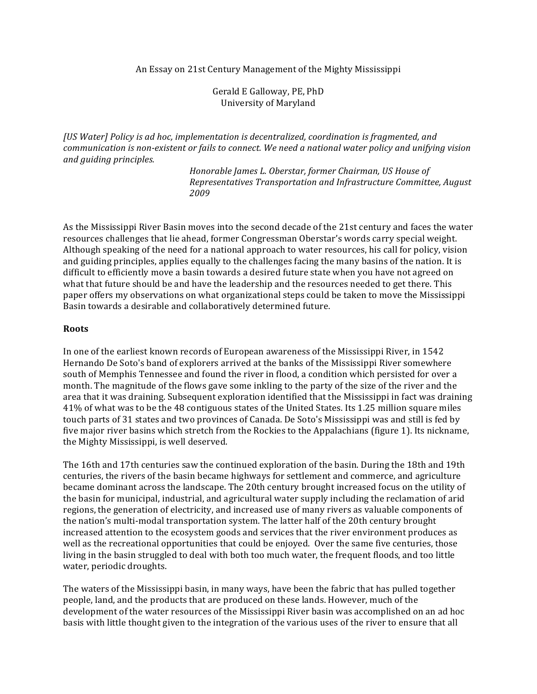An Essay on 21st Century Management of the Mighty Mississippi

Gerald E Galloway, PE, PhD University of Maryland

*[US Water] Policy is ad hoc, implementation is decentralized, coordination is fragmented, and* communication is non-existent or fails to connect. We need a national water policy and unifying vision *and\$guiding\$principles.*

> *Honorable\$James\$L.\$Oberstar,\$former\$Chairman,\$US\$House\$of\$ Representatives\$Transportation\$and\$Infrastructure\$Committee,\$August\$ 2009*

As the Mississippi River Basin moves into the second decade of the 21st century and faces the water resources challenges that lie ahead, former Congressman Oberstar's words carry special weight. Although speaking of the need for a national approach to water resources, his call for policy, vision and guiding principles, applies equally to the challenges facing the many basins of the nation. It is difficult to efficiently move a basin towards a desired future state when you have not agreed on what that future should be and have the leadership and the resources needed to get there. This paper offers my observations on what organizational steps could be taken to move the Mississippi Basin towards a desirable and collaboratively determined future.

#### **Roots**

In one of the earliest known records of European awareness of the Mississippi River, in 1542 Hernando De Soto's band of explorers arrived at the banks of the Mississippi River somewhere south of Memphis Tennessee and found the river in flood, a condition which persisted for over a month. The magnitude of the flows gave some inkling to the party of the size of the river and the area that it was draining. Subsequent exploration identified that the Mississippi in fact was draining 41% of what was to be the 48 contiguous states of the United States. Its 1.25 million square miles touch parts of 31 states and two provinces of Canada. De Soto's Mississippi was and still is fed by five major river basins which stretch from the Rockies to the Appalachians (figure 1). Its nickname, the Mighty Mississippi, is well deserved.

The 16th and 17th centuries saw the continued exploration of the basin. During the 18th and 19th centuries, the rivers of the basin became highways for settlement and commerce, and agriculture became dominant across the landscape. The 20th century brought increased focus on the utility of the basin for municipal, industrial, and agricultural water supply including the reclamation of arid regions, the generation of electricity, and increased use of many rivers as valuable components of the nation's multi-modal transportation system. The latter half of the 20th century brought increased attention to the ecosystem goods and services that the river environment produces as well as the recreational opportunities that could be enjoyed. Over the same five centuries, those living in the basin struggled to deal with both too much water, the frequent floods, and too little water, periodic droughts.

The waters of the Mississippi basin, in many ways, have been the fabric that has pulled together people, land, and the products that are produced on these lands. However, much of the development of the water resources of the Mississippi River basin was accomplished on an ad hoc basis with little thought given to the integration of the various uses of the river to ensure that all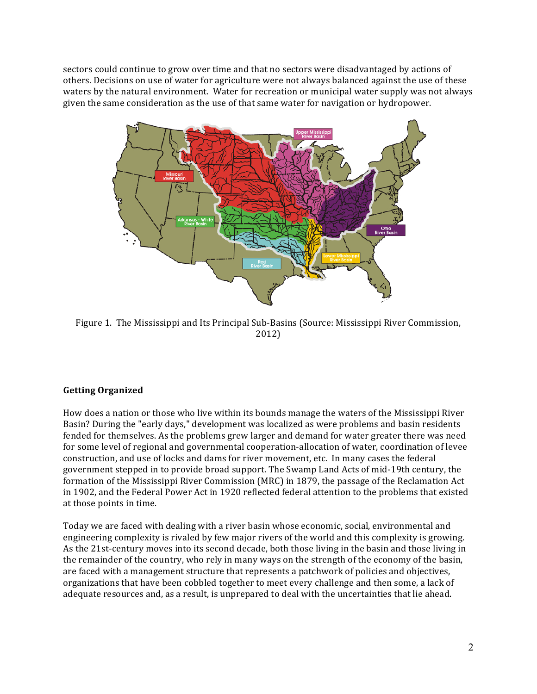sectors could continue to grow over time and that no sectors were disadvantaged by actions of others. Decisions on use of water for agriculture were not always balanced against the use of these waters by the natural environment. Water for recreation or municipal water supply was not always given the same consideration as the use of that same water for navigation or hydropower.



Figure 1. The Mississippi and Its Principal Sub-Basins (Source: Mississippi River Commission, 2012)

# **Getting Organized**

How does a nation or those who live within its bounds manage the waters of the Mississippi River Basin? During the "early days," development was localized as were problems and basin residents fended for themselves. As the problems grew larger and demand for water greater there was need for some level of regional and governmental cooperation-allocation of water, coordination of levee construction, and use of locks and dams for river movement, etc. In many cases the federal government stepped in to provide broad support. The Swamp Land Acts of mid-19th century, the formation of the Mississippi River Commission (MRC) in 1879, the passage of the Reclamation Act in 1902, and the Federal Power Act in 1920 reflected federal attention to the problems that existed at those points in time.

Today we are faced with dealing with a river basin whose economic, social, environmental and engineering complexity is rivaled by few major rivers of the world and this complexity is growing. As the 21st-century moves into its second decade, both those living in the basin and those living in the remainder of the country, who rely in many ways on the strength of the economy of the basin, are faced with a management structure that represents a patchwork of policies and objectives, organizations that have been cobbled together to meet every challenge and then some, a lack of adequate resources and, as a result, is unprepared to deal with the uncertainties that lie ahead.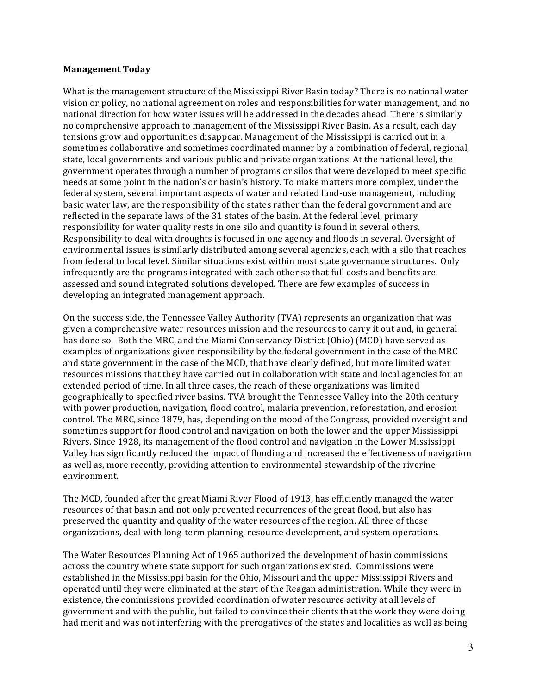### **Management%Today**

What is the management structure of the Mississippi River Basin today? There is no national water vision or policy, no national agreement on roles and responsibilities for water management, and no national direction for how water issues will be addressed in the decades ahead. There is similarly no comprehensive approach to management of the Mississippi River Basin. As a result, each day tensions grow and opportunities disappear. Management of the Mississippi is carried out in a sometimes collaborative and sometimes coordinated manner by a combination of federal, regional, state, local governments and various public and private organizations. At the national level, the government operates through a number of programs or silos that were developed to meet specific needs at some point in the nation's or basin's history. To make matters more complex, under the federal system, several important aspects of water and related land-use management, including basic water law, are the responsibility of the states rather than the federal government and are reflected in the separate laws of the 31 states of the basin. At the federal level, primary responsibility for water quality rests in one silo and quantity is found in several others. Responsibility to deal with droughts is focused in one agency and floods in several. Oversight of environmental issues is similarly distributed among several agencies, each with a silo that reaches from federal to local level. Similar situations exist within most state governance structures. Only infrequently are the programs integrated with each other so that full costs and benefits are assessed and sound integrated solutions developed. There are few examples of success in developing an integrated management approach.

On the success side, the Tennessee Valley Authority (TVA) represents an organization that was given a comprehensive water resources mission and the resources to carry it out and, in general has done so. Both the MRC, and the Miami Conservancy District (Ohio) (MCD) have served as examples of organizations given responsibility by the federal government in the case of the MRC and state government in the case of the MCD, that have clearly defined, but more limited water resources missions that they have carried out in collaboration with state and local agencies for an extended period of time. In all three cases, the reach of these organizations was limited geographically to specified river basins. TVA brought the Tennessee Valley into the 20th century with power production, navigation, flood control, malaria prevention, reforestation, and erosion control. The MRC, since 1879, has, depending on the mood of the Congress, provided oversight and sometimes support for flood control and navigation on both the lower and the upper Mississippi Rivers. Since 1928, its management of the flood control and navigation in the Lower Mississippi Valley has significantly reduced the impact of flooding and increased the effectiveness of navigation as well as, more recently, providing attention to environmental stewardship of the riverine environment.

The MCD, founded after the great Miami River Flood of 1913, has efficiently managed the water resources of that basin and not only prevented recurrences of the great flood, but also has preserved the quantity and quality of the water resources of the region. All three of these organizations, deal with long-term planning, resource development, and system operations.

The Water Resources Planning Act of 1965 authorized the development of basin commissions across the country where state support for such organizations existed. Commissions were established in the Mississippi basin for the Ohio, Missouri and the upper Mississippi Rivers and operated until they were eliminated at the start of the Reagan administration. While they were in existence, the commissions provided coordination of water resource activity at all levels of government and with the public, but failed to convince their clients that the work they were doing had merit and was not interfering with the prerogatives of the states and localities as well as being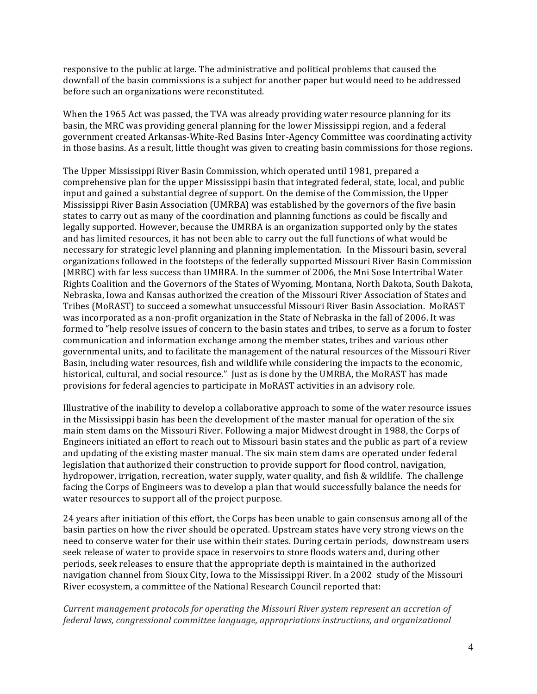responsive to the public at large. The administrative and political problems that caused the downfall of the basin commissions is a subject for another paper but would need to be addressed before such an organizations were reconstituted.

When the 1965 Act was passed, the TVA was already providing water resource planning for its basin, the MRC was providing general planning for the lower Mississippi region, and a federal government created Arkansas-White-Red Basins Inter-Agency Committee was coordinating activity in those basins. As a result, little thought was given to creating basin commissions for those regions.

The Upper Mississippi River Basin Commission, which operated until 1981, prepared a comprehensive plan for the upper Mississippi basin that integrated federal, state, local, and public input and gained a substantial degree of support. On the demise of the Commission, the Upper Mississippi River Basin Association (UMRBA) was established by the governors of the five basin states to carry out as many of the coordination and planning functions as could be fiscally and legally supported. However, because the UMRBA is an organization supported only by the states and has limited resources, it has not been able to carry out the full functions of what would be necessary for strategic level planning and planning implementation. In the Missouri basin, several organizations followed in the footsteps of the federally supported Missouri River Basin Commission (MRBC) with far less success than UMBRA. In the summer of 2006, the Mni Sose Intertribal Water Rights Coalition and the Governors of the States of Wyoming, Montana, North Dakota, South Dakota, Nebraska, Iowa and Kansas authorized the creation of the Missouri River Association of States and Tribes (MoRAST) to succeed a somewhat unsuccessful Missouri River Basin Association. MoRAST was incorporated as a non-profit organization in the State of Nebraska in the fall of 2006. It was formed to "help resolve issues of concern to the basin states and tribes, to serve as a forum to foster communication and information exchange among the member states, tribes and various other governmental units, and to facilitate the management of the natural resources of the Missouri River Basin, including water resources, fish and wildlife while considering the impacts to the economic, historical, cultural, and social resource." Just as is done by the UMRBA, the MoRAST has made provisions for federal agencies to participate in MoRAST activities in an advisory role.

Illustrative of the inability to develop a collaborative approach to some of the water resource issues in the Mississippi basin has been the development of the master manual for operation of the six main stem dams on the Missouri River. Following a major Midwest drought in 1988, the Corps of Engineers initiated an effort to reach out to Missouri basin states and the public as part of a review and updating of the existing master manual. The six main stem dams are operated under federal legislation that authorized their construction to provide support for flood control, navigation, hydropower, irrigation, recreation, water supply, water quality, and fish & wildlife. The challenge facing the Corps of Engineers was to develop a plan that would successfully balance the needs for water resources to support all of the project purpose.

24 years after initiation of this effort, the Corps has been unable to gain consensus among all of the basin parties on how the river should be operated. Upstream states have very strong views on the need to conserve water for their use within their states. During certain periods, downstream users seek release of water to provide space in reservoirs to store floods waters and, during other periods, seek releases to ensure that the appropriate depth is maintained in the authorized navigation channel from Sioux City, Iowa to the Mississippi River. In a 2002 study of the Missouri River ecosystem, a committee of the National Research Council reported that:

*Current management protocols for operating the Missouri River system represent an accretion of federal laws, congressional committee language, appropriations instructions, and organizational*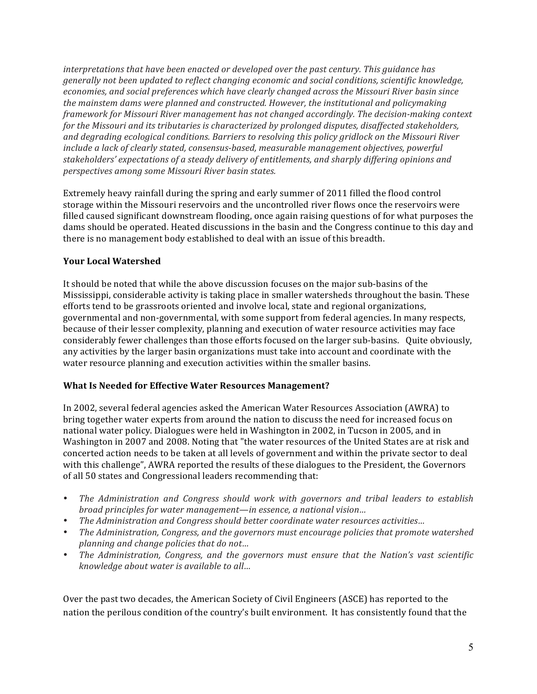*interpretations that have been enacted or developed over the past century. This guidance has* generally not been updated to reflect changing economic and social conditions, scientific knowledge, economies, and social preferences which have clearly changed across the Missouri River basin since the mainstem dams were planned and constructed. However, the institutional and policymaking *framework for Missouri River management has not changed accordingly. The decision-making context* for the Missouri and its tributaries is characterized by prolonged disputes, disaffected stakeholders, and degrading ecological conditions. Barriers to resolving this policy gridlock on the Missouri River include a lack of clearly stated, consensus-based, measurable management objectives, powerful stakeholders' expectations of a steady delivery of entitlements, and sharply differing opinions and *perspectives among some Missouri River basin states.* 

Extremely heavy rainfall during the spring and early summer of 2011 filled the flood control storage within the Missouri reservoirs and the uncontrolled river flows once the reservoirs were filled caused significant downstream flooding, once again raising questions of for what purposes the dams should be operated. Heated discussions in the basin and the Congress continue to this day and there is no management body established to deal with an issue of this breadth.

## **Your%Local%Watershed**

It should be noted that while the above discussion focuses on the major sub-basins of the Mississippi, considerable activity is taking place in smaller watersheds throughout the basin. These efforts tend to be grassroots oriented and involve local, state and regional organizations, governmental and non-governmental, with some support from federal agencies. In many respects, because of their lesser complexity, planning and execution of water resource activities may face considerably fewer challenges than those efforts focused on the larger sub-basins. Quite obviously, any activities by the larger basin organizations must take into account and coordinate with the water resource planning and execution activities within the smaller basins.

## What Is Needed for Effective Water Resources Management?

In 2002, several federal agencies asked the American Water Resources Association (AWRA) to bring together water experts from around the nation to discuss the need for increased focus on national water policy. Dialogues were held in Washington in 2002, in Tucson in 2005, and in Washington in 2007 and 2008. Noting that "the water resources of the United States are at risk and concerted action needs to be taken at all levels of government and within the private sector to deal with this challenge", AWRA reported the results of these dialogues to the President, the Governors of all 50 states and Congressional leaders recommending that:

- *The Administration and Congress should work with governors and tribal leaders to establish broad principles for water management—in essence, a national vision...*
- The Administration and Congress should better coordinate water resources activities...
- The Administration, Congress, and the governors must encourage policies that promote watershed *planning and change policies that do not...*
- *The Administration, Congress, and the governors must ensure that the Nation's vast scientific knowledge about water is available to all...*

Over the past two decades, the American Society of Civil Engineers (ASCE) has reported to the nation the perilous condition of the country's built environment. It has consistently found that the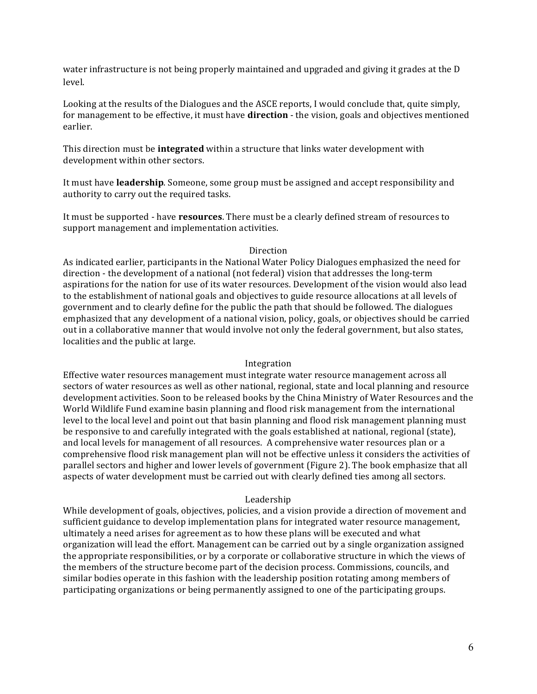water infrastructure is not being properly maintained and upgraded and giving it grades at the D level.

Looking at the results of the Dialogues and the ASCE reports, I would conclude that, quite simply, for management to be effective, it must have **direction** - the vision, goals and objectives mentioned earlier.

This direction must be **integrated** within a structure that links water development with development within other sectors.

It must have leadership. Someone, some group must be assigned and accept responsibility and authority to carry out the required tasks.

It must be supported - have **resources**. There must be a clearly defined stream of resources to support management and implementation activities.

#### Direction

As indicated earlier, participants in the National Water Policy Dialogues emphasized the need for direction - the development of a national (not federal) vision that addresses the long-term aspirations for the nation for use of its water resources. Development of the vision would also lead to the establishment of national goals and objectives to guide resource allocations at all levels of government and to clearly define for the public the path that should be followed. The dialogues emphasized that any development of a national vision, policy, goals, or objectives should be carried out in a collaborative manner that would involve not only the federal government, but also states, localities and the public at large.

#### Integration

Effective water resources management must integrate water resource management across all sectors of water resources as well as other national, regional, state and local planning and resource development activities. Soon to be released books by the China Ministry of Water Resources and the World Wildlife Fund examine basin planning and flood risk management from the international level to the local level and point out that basin planning and flood risk management planning must be responsive to and carefully integrated with the goals established at national, regional (state), and local levels for management of all resources. A comprehensive water resources plan or a comprehensive flood risk management plan will not be effective unless it considers the activities of parallel sectors and higher and lower levels of government (Figure 2). The book emphasize that all aspects of water development must be carried out with clearly defined ties among all sectors.

### Leadership

While development of goals, objectives, policies, and a vision provide a direction of movement and sufficient guidance to develop implementation plans for integrated water resource management, ultimately a need arises for agreement as to how these plans will be executed and what organization will lead the effort. Management can be carried out by a single organization assigned the appropriate responsibilities, or by a corporate or collaborative structure in which the views of the members of the structure become part of the decision process. Commissions, councils, and similar bodies operate in this fashion with the leadership position rotating among members of participating organizations or being permanently assigned to one of the participating groups.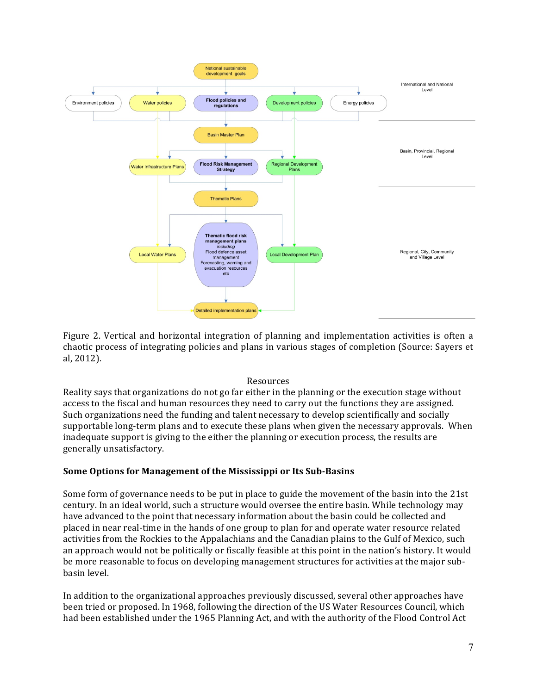

Figure 2. Vertical and horizontal integration of planning and implementation activities is often a chaotic process of integrating policies and plans in various stages of completion (Source: Sayers et al,#2012).

## Resources

Reality says that organizations do not go far either in the planning or the execution stage without access to the fiscal and human resources they need to carry out the functions they are assigned. Such organizations need the funding and talent necessary to develop scientifically and socially supportable long-term plans and to execute these plans when given the necessary approvals. When inadequate support is giving to the either the planning or execution process, the results are generally unsatisfactory.

## **Some Options for Management of the Mississippi or Its Sub-Basins**

Some form of governance needs to be put in place to guide the movement of the basin into the 21st century. In an ideal world, such a structure would oversee the entire basin. While technology may have advanced to the point that necessary information about the basin could be collected and placed in near real-time in the hands of one group to plan for and operate water resource related activities from the Rockies to the Appalachians and the Canadian plains to the Gulf of Mexico, such an approach would not be politically or fiscally feasible at this point in the nation's history. It would be more reasonable to focus on developing management structures for activities at the major subbasin level.

In addition to the organizational approaches previously discussed, several other approaches have been tried or proposed. In 1968, following the direction of the US Water Resources Council, which had been established under the 1965 Planning Act, and with the authority of the Flood Control Act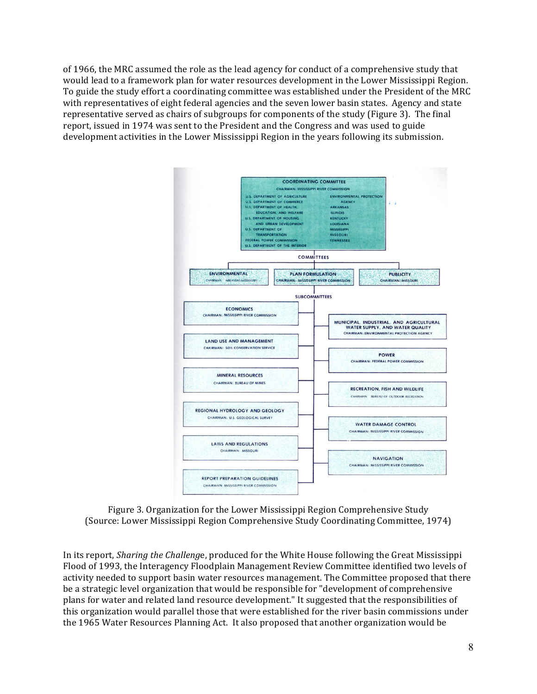of 1966, the MRC assumed the role as the lead agency for conduct of a comprehensive study that would lead to a framework plan for water resources development in the Lower Mississippi Region. To guide the study effort a coordinating committee was established under the President of the MRC with representatives of eight federal agencies and the seven lower basin states. Agency and state representative served as chairs of subgroups for components of the study (Figure 3). The final report, issued in 1974 was sent to the President and the Congress and was used to guide development activities in the Lower Mississippi Region in the years following its submission.



Figure 3. Organization for the Lower Mississippi Region Comprehensive Study (Source: Lower Mississippi Region Comprehensive Study Coordinating Committee, 1974)

In its report, *Sharing the Challenge*, produced for the White House following the Great Mississippi Flood of 1993, the Interagency Floodplain Management Review Committee identified two levels of activity needed to support basin water resources management. The Committee proposed that there be a strategic level organization that would be responsible for "development of comprehensive plans for water and related land resource development." It suggested that the responsibilities of this organization would parallel those that were established for the river basin commissions under the 1965 Water Resources Planning Act. It also proposed that another organization would be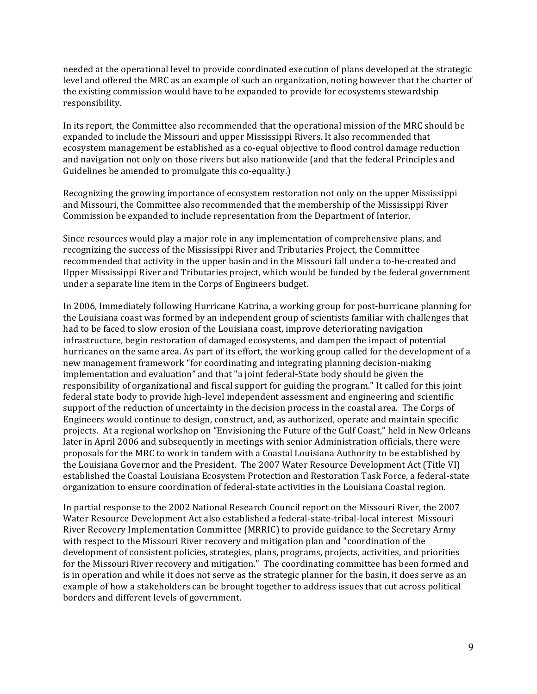needed at the operational level to provide coordinated execution of plans developed at the strategic level and offered the MRC as an example of such an organization, noting however that the charter of the existing commission would have to be expanded to provide for ecosystems stewardship responsibility.

In its report, the Committee also recommended that the operational mission of the MRC should be expanded to include the Missouri and upper Mississippi Rivers. It also recommended that ecosystem management be established as a co-equal objective to flood control damage reduction and navigation not only on those rivers but also nationwide (and that the federal Principles and Guidelines be amended to promulgate this co-equality.)

Recognizing the growing importance of ecosystem restoration not only on the upper Mississippi and Missouri, the Committee also recommended that the membership of the Mississippi River Commission be expanded to include representation from the Department of Interior.

Since resources would play a major role in any implementation of comprehensive plans, and recognizing the success of the Mississippi River and Tributaries Project, the Committee recommended that activity in the upper basin and in the Missouri fall under a to-be-created and Upper Mississippi River and Tributaries project, which would be funded by the federal government under a separate line item in the Corps of Engineers budget.

In 2006, Immediately following Hurricane Katrina, a working group for post-hurricane planning for the Louisiana coast was formed by an independent group of scientists familiar with challenges that had to be faced to slow erosion of the Louisiana coast, improve deteriorating navigation infrastructure, begin restoration of damaged ecosystems, and dampen the impact of potential hurricanes on the same area. As part of its effort, the working group called for the development of a new management framework "for coordinating and integrating planning decision-making implementation and evaluation" and that "a joint federal-State body should be given the responsibility of organizational and fiscal support for guiding the program." It called for this joint federal state body to provide high-level independent assessment and engineering and scientific support of the reduction of uncertainty in the decision process in the coastal area. The Corps of Engineers would continue to design, construct, and, as authorized, operate and maintain specific projects. At a regional workshop on "Envisioning the Future of the Gulf Coast," held in New Orleans later in April 2006 and subsequently in meetings with senior Administration officials, there were proposals for the MRC to work in tandem with a Coastal Louisiana Authority to be established by the Louisiana Governor and the President. The 2007 Water Resource Development Act (Title VI) established the Coastal Louisiana Ecosystem Protection and Restoration Task Force, a federal-state organization to ensure coordination of federal-state activities in the Louisiana Coastal region.

In partial response to the 2002 National Research Council report on the Missouri River, the 2007 Water Resource Development Act also established a federal-state-tribal-local interest Missouri River Recovery Implementation Committee (MRRIC) to provide guidance to the Secretary Army with respect to the Missouri River recovery and mitigation plan and "coordination of the development of consistent policies, strategies, plans, programs, projects, activities, and priorities for the Missouri River recovery and mitigation." The coordinating committee has been formed and is in operation and while it does not serve as the strategic planner for the basin, it does serve as an example of how a stakeholders can be brought together to address issues that cut across political borders and different levels of government.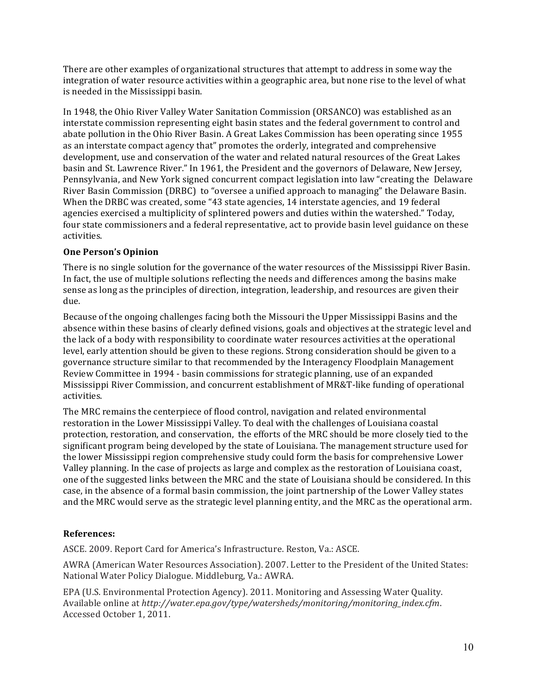There are other examples of organizational structures that attempt to address in some way the integration of water resource activities within a geographic area, but none rise to the level of what is needed in the Mississippi basin.

In 1948, the Ohio River Valley Water Sanitation Commission (ORSANCO) was established as an interstate commission representing eight basin states and the federal government to control and abate pollution in the Ohio River Basin. A Great Lakes Commission has been operating since 1955 as an interstate compact agency that" promotes the orderly, integrated and comprehensive development, use and conservation of the water and related natural resources of the Great Lakes basin and St. Lawrence River." In 1961, the President and the governors of Delaware, New Jersey, Pennsylvania, and New York signed concurrent compact legislation into law "creating the Delaware River Basin Commission (DRBC) to "oversee a unified approach to managing" the Delaware Basin. When the DRBC was created, some "43 state agencies, 14 interstate agencies, and 19 federal agencies exercised a multiplicity of splintered powers and duties within the watershed." Today, four state commissioners and a federal representative, act to provide basin level guidance on these activities.

## **One Person's Opinion**

There is no single solution for the governance of the water resources of the Mississippi River Basin. In fact, the use of multiple solutions reflecting the needs and differences among the basins make sense as long as the principles of direction, integration, leadership, and resources are given their due.

Because of the ongoing challenges facing both the Missouri the Upper Mississippi Basins and the absence within these basins of clearly defined visions, goals and objectives at the strategic level and the lack of a body with responsibility to coordinate water resources activities at the operational level, early attention should be given to these regions. Strong consideration should be given to a governance structure similar to that recommended by the Interagency Floodplain Management Review Committee in 1994 - basin commissions for strategic planning, use of an expanded Mississippi River Commission, and concurrent establishment of MR&T-like funding of operational activities.

The MRC remains the centerpiece of flood control, navigation and related environmental restoration in the Lower Mississippi Valley. To deal with the challenges of Louisiana coastal protection, restoration, and conservation, the efforts of the MRC should be more closely tied to the significant program being developed by the state of Louisiana. The management structure used for the lower Mississippi region comprehensive study could form the basis for comprehensive Lower Valley planning. In the case of projects as large and complex as the restoration of Louisiana coast, one of the suggested links between the MRC and the state of Louisiana should be considered. In this case, in the absence of a formal basin commission, the joint partnership of the Lower Valley states and the MRC would serve as the strategic level planning entity, and the MRC as the operational arm.

# **References:**

ASCE. 2009. Report Card for America's Infrastructure. Reston, Va.: ASCE.

AWRA (American Water Resources Association). 2007. Letter to the President of the United States: National Water Policy Dialogue. Middleburg, Va.: AWRA.

EPA (U.S. Environmental Protection Agency). 2011. Monitoring and Assessing Water Quality. Available#online#at#*http://water.epa.gov/type/watersheds/monitoring/monitoring\_index.cfm*.# Accessed October 1, 2011.